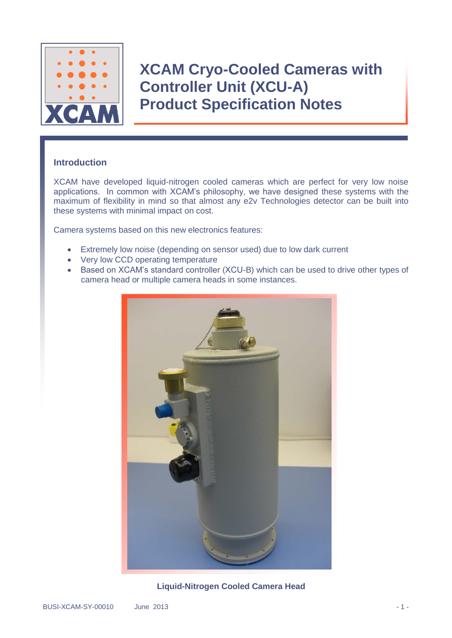

### **Introduction**

XCAM have developed liquid-nitrogen cooled cameras which are perfect for very low noise applications. In common with XCAM's philosophy, we have designed these systems with the maximum of flexibility in mind so that almost any e2v Technologies detector can be built into these systems with minimal impact on cost.

Camera systems based on this new electronics features:

- Extremely low noise (depending on sensor used) due to low dark current
- Very low CCD operating temperature
- Based on XCAM's standard controller (XCU-B) which can be used to drive other types of camera head or multiple camera heads in some instances.



**Liquid-Nitrogen Cooled Camera Head**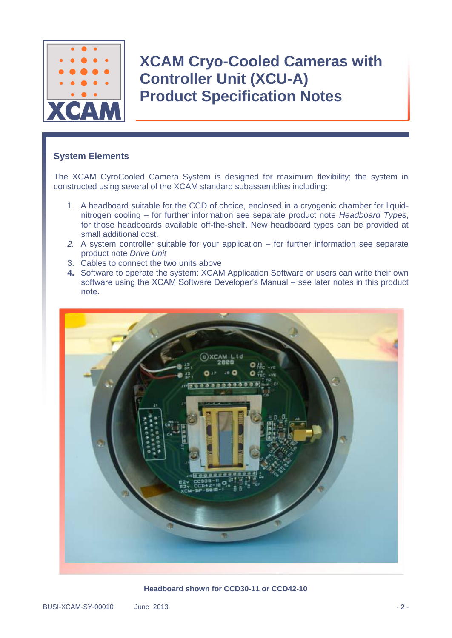

### **System Elements**

The XCAM CyroCooled Camera System is designed for maximum flexibility; the system in constructed using several of the XCAM standard subassemblies including:

- 1. A headboard suitable for the CCD of choice, enclosed in a cryogenic chamber for liquidnitrogen cooling – for further information see separate product note *Headboard Types*, for those headboards available off-the-shelf. New headboard types can be provided at small additional cost.
- *2.* A system controller suitable for your application for further information see separate product note *Drive Unit*
- 3. Cables to connect the two units above
- **4.** Software to operate the system: XCAM Application Software or users can write their own software using the XCAM Software Developer's Manual – see later notes in this product note**.**



**Headboard shown for CCD30-11 or CCD42-10**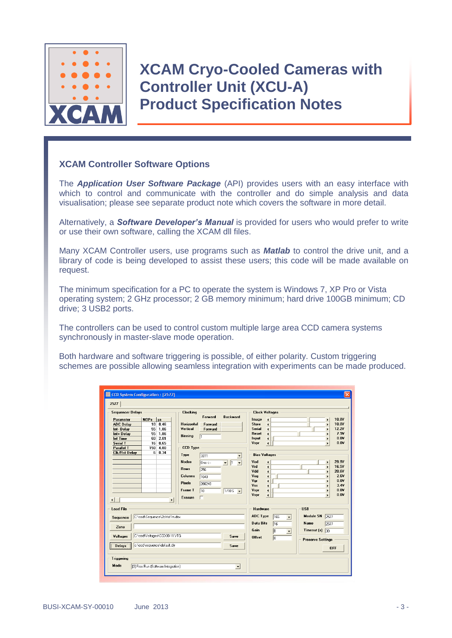

#### **XCAM Controller Software Options**

The *Application User Software Package* (API) provides users with an easy interface with which to control and communicate with the controller and do simple analysis and data visualisation; please see separate product note which covers the software in more detail.

Alternatively, a *Software Developer's Manual* is provided for users who would prefer to write or use their own software, calling the XCAM dll files.

Many XCAM Controller users, use programs such as *Matlab* to control the drive unit, and a library of code is being developed to assist these users; this code will be made available on request.

The minimum specification for a PC to operate the system is Windows 7, XP Pro or Vista operating system; 2 GHz processor; 2 GB memory minimum; hard drive 100GB minimum; CD drive; 3 USB2 ports.

The controllers can be used to control custom multiple large area CCD camera systems synchronously in master-slave mode operation.

Both hardware and software triggering is possible, of either polarity. Custom triggering schemes are possible allowing seamless integration with experiments can be made produced.

|                                                                                                                                   | <b>CCD System Configuration: [2577]</b>                                                             |                                                                                                                               |                                                                 |                                                            |                                                                                             |                                                                                                                                                                                                  | $\overline{\mathsf{x}}$                                                                                                                                                                                                                               |
|-----------------------------------------------------------------------------------------------------------------------------------|-----------------------------------------------------------------------------------------------------|-------------------------------------------------------------------------------------------------------------------------------|-----------------------------------------------------------------|------------------------------------------------------------|---------------------------------------------------------------------------------------------|--------------------------------------------------------------------------------------------------------------------------------------------------------------------------------------------------|-------------------------------------------------------------------------------------------------------------------------------------------------------------------------------------------------------------------------------------------------------|
| 2577<br><b>Sequencer Delays</b><br>Parameter<br><b>ADC Delay</b><br>Int-Delay<br>Int+ Delay<br><b>Int Time</b><br><b>Serial T</b> | $NOPs$   $\mu s$<br>10 <sup>1</sup><br>0.46<br>55<br>1.86<br>1.86<br>55<br>2.01<br>60<br>16<br>0.65 | <b>Clocking</b><br><b>Horizontal</b><br>Vertical<br>Binning                                                                   | Forward<br>Forward<br>Forward<br>T <sub>1</sub>                 | <b>Backward</b>                                            | Image<br>Store<br>Serial<br>Reset<br>Input<br>Vspr                                          | <b>Clock Voltages</b><br>$\blacktriangleleft$<br>$\blacktriangleleft$<br>$\blacksquare$<br>$\blacktriangleleft$<br>$\blacktriangleleft$<br>$\overline{\bullet}$                                  | 10.8V<br>$\blacktriangleright$<br>10.8V<br>$\blacktriangleright$<br>12.2V<br>$\blacktriangleright$<br>7.9V<br>$\blacktriangleright$<br>0.0V<br>$\blacktriangleright$<br>0.0V<br>$\blacktriangleright$                                                 |
| <b>Parallel T</b><br><b>Clk/Rst Delay</b><br>$\blacktriangleleft$                                                                 | 4.80<br>150<br>6<br>0.34<br>٠                                                                       | <b>CCD Type</b><br>Type<br><b>Nodes</b><br><b>Rows</b><br><b>Columns</b><br><b>Pixels</b><br><b>Frame T</b><br><b>Erasure</b> | 3011<br>$0n$ e $\leftarrow$<br>256<br>1040<br>266240<br>10<br>г | $\vert \cdot \vert$<br>$\sqrt{1}$<br>$1/10S$ $\rightarrow$ | <b>Bias Voltages</b><br>Vod<br>Vrd<br>Vdd<br>Vog<br>Var<br>Vss <sup>1</sup><br>Vspr<br>Vspr | $\blacktriangleleft$<br>$\blacktriangleleft$<br>$\overline{\bullet}$<br>$\overline{\phantom{a}}$<br>$\overline{\bullet}$<br>$\blacktriangleleft$<br>$\blacktriangleleft$<br>$\overline{\bullet}$ | 29.9V<br>$\blacktriangleright$<br>16.5V<br>$\blacktriangleright$<br>20.6V<br>$\mathbf{r}$<br>2.6V<br>$\blacktriangleright$<br>0.0V<br>$\blacktriangleright$<br>3.4V<br>$\blacktriangleright$<br>0.0V<br>$\blacktriangleright$<br>0.01<br>$\mathbf{r}$ |
| <b>Load File</b><br>Sequence<br>Zone<br>Voltages<br><b>Delays</b>                                                                 | C:\ccd\Sequence\2chtst1m.dex<br>C:\ccd\Voltages\CCD30-11.VTG<br>c:\ccd\sequence\default.dlv         |                                                                                                                               |                                                                 | Save<br>Save                                               | Hardware<br><b>ADC Type</b><br><b>Data Bits</b><br>Gain<br><b>Offset</b>                    | <b>16S</b><br>$\blacktriangledown$<br>16<br><b>B</b><br>$\blacktriangledown$<br>$\sqrt{a}$                                                                                                       | <b>USB</b><br><b>Module SN</b><br>2577<br>Name<br>2577<br>Timeout $[s]$ 30<br><b>Preserve Settings</b><br><b>OFF</b>                                                                                                                                  |
| <b>Triggering</b><br>Mode                                                                                                         | [3] Free Run (Software Integration)                                                                 |                                                                                                                               |                                                                 | $\overline{\phantom{a}}$                                   |                                                                                             |                                                                                                                                                                                                  |                                                                                                                                                                                                                                                       |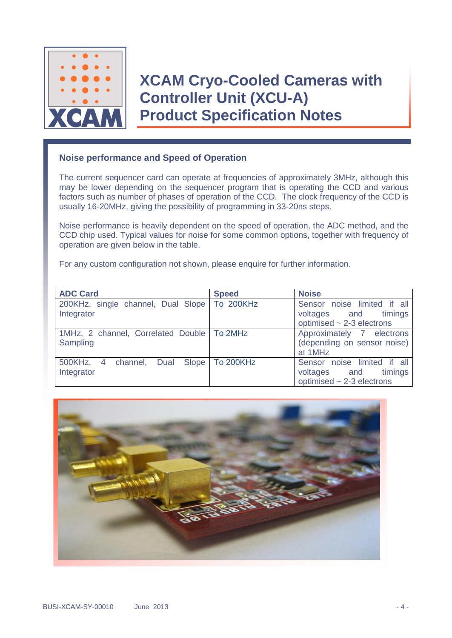

### **Noise performance and Speed of Operation**

The current sequencer card can operate at frequencies of approximately 3MHz, although this may be lower depending on the sequencer program that is operating the CCD and various factors such as number of phases of operation of the CCD. The clock frequency of the CCD is usually 16-20MHz, giving the possibility of programming in 33-20ns steps.

Noise performance is heavily dependent on the speed of operation, the ADC method, and the CCD chip used. Typical values for noise for some common options, together with frequency of operation are given below in the table.

For any custom configuration not shown, please enquire for further information.

| <b>ADC Card</b>                                              | <b>Speed</b> | <b>Noise</b>                                                                             |  |  |
|--------------------------------------------------------------|--------------|------------------------------------------------------------------------------------------|--|--|
| 200KHz, single channel, Dual Slope   To 200KHz<br>Integrator |              | Sensor noise limited if all<br>voltages and timings<br>optimised $\sim$ 2-3 electrons    |  |  |
| 1MHz, 2 channel, Correlated Double   To 2MHz<br>Sampling     |              | Approximately 7 electrons<br>(depending on sensor noise)<br>at 1MHz                      |  |  |
| 500KHz, 4 channel, Dual Slope To 200KHz<br>Integrator        |              | Sensor noise limited if all<br>timings<br>voltages and<br>optimised $\sim$ 2-3 electrons |  |  |